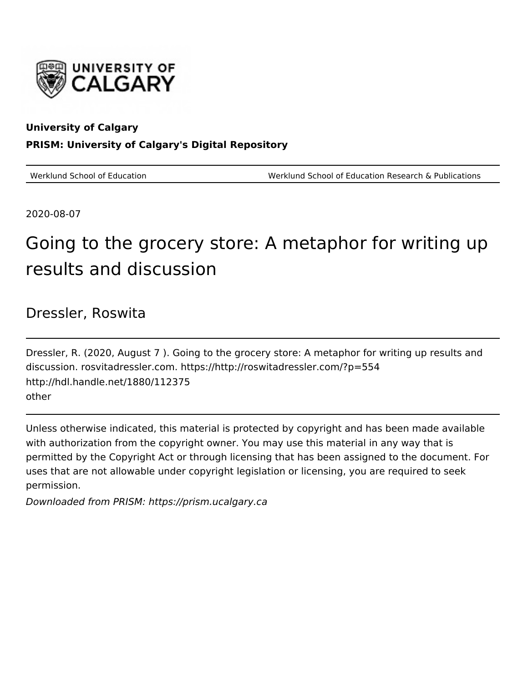

#### **University of Calgary PRISM: University of Calgary's Digital Repository**

Werklund School of Education Werklund School of Education Research & Publications

2020-08-07

## Going to the grocery store: A metaphor for writing up results and discussion

#### Dressler, Roswita

Dressler, R. (2020, August 7 ). Going to the grocery store: A metaphor for writing up results and discussion. rosvitadressler.com. https://http://roswitadressler.com/?p=554 http://hdl.handle.net/1880/112375 other

Unless otherwise indicated, this material is protected by copyright and has been made available with authorization from the copyright owner. You may use this material in any way that is permitted by the Copyright Act or through licensing that has been assigned to the document. For uses that are not allowable under copyright legislation or licensing, you are required to seek permission.

Downloaded from PRISM: https://prism.ucalgary.ca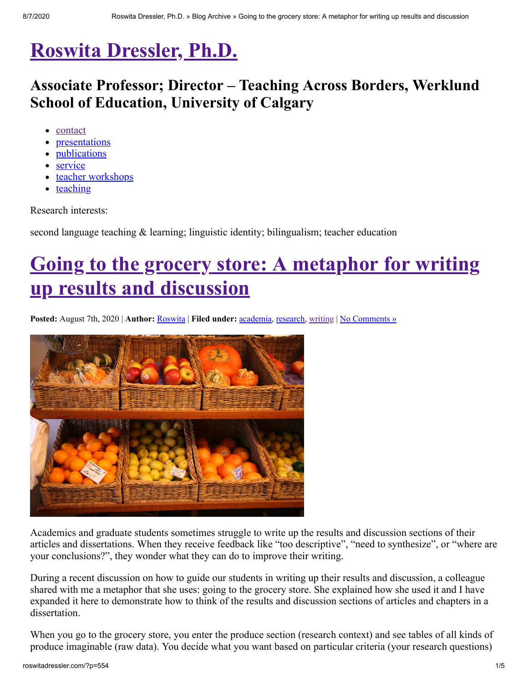### **[Roswita Dressler, Ph.D.](http://roswitadressler.com/)**

### **Associate Professor; Director – Teaching Across Borders, Werklund School of Education, University of Calgary**

- <u>[contact](http://roswitadressler.com/?page_id=13)</u>
- [presentations](http://roswitadressler.com/?page_id=28)
- [publications](http://roswitadressler.com/?page_id=7)
- [service](http://roswitadressler.com/?page_id=9)
- [teacher workshops](http://roswitadressler.com/?page_id=63)
- [teaching](http://roswitadressler.com/?page_id=3)

Research interests:

second language teaching & learning; linguistic identity; bilingualism; teacher education

# **[Going to the grocery store: A metaphor for writing](http://roswitadressler.com/?p=554) up results and discussion**

**Posted:** August 7th, 2020 | **Author:** [Roswita](http://roswitadressler.com/?author=3) | **Filed under:** [academia,](http://roswitadressler.com/?cat=6) [research,](http://roswitadressler.com/?cat=4) [writing](http://roswitadressler.com/?cat=10) | No Comments »



Academics and graduate students sometimes struggle to write up the results and discussion sections of their articles and dissertations. When they receive feedback like "too descriptive", "need to synthesize", or "where are your conclusions?", they wonder what they can do to improve their writing.

During a recent discussion on how to guide our students in writing up their results and discussion, a colleague shared with me a metaphor that she uses: going to the grocery store. She explained how she used it and I have expanded it here to demonstrate how to think of the results and discussion sections of articles and chapters in a dissertation.

When you go to the grocery store, you enter the produce section (research context) and see tables of all kinds of produce imaginable (raw data). You decide what you want based on particular criteria (your research questions)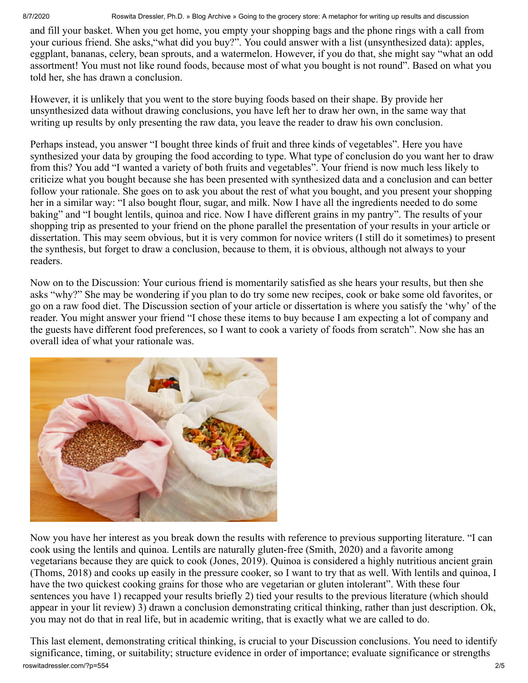8/7/2020 Roswita Dressler, Ph.D. » Blog Archive » Going to the grocery store: A metaphor for writing up results and discussion

and fill your basket. When you get home, you empty your shopping bags and the phone rings with a call from your curious friend. She asks,"what did you buy?". You could answer with a list (unsynthesized data): apples, eggplant, bananas, celery, bean sprouts, and a watermelon. However, if you do that, she might say "what an odd assortment! You must not like round foods, because most of what you bought is not round". Based on what you told her, she has drawn a conclusion.

However, it is unlikely that you went to the store buying foods based on their shape. By provide her unsynthesized data without drawing conclusions, you have left her to draw her own, in the same way that writing up results by only presenting the raw data, you leave the reader to draw his own conclusion.

Perhaps instead, you answer "I bought three kinds of fruit and three kinds of vegetables". Here you have synthesized your data by grouping the food according to type. What type of conclusion do you want her to draw from this? You add "I wanted a variety of both fruits and vegetables". Your friend is now much less likely to criticize what you bought because she has been presented with synthesized data and a conclusion and can better follow your rationale. She goes on to ask you about the rest of what you bought, and you present your shopping her in a similar way: "I also bought flour, sugar, and milk. Now I have all the ingredients needed to do some baking" and "I bought lentils, quinoa and rice. Now I have different grains in my pantry". The results of your shopping trip as presented to your friend on the phone parallel the presentation of your results in your article or dissertation. This may seem obvious, but it is very common for novice writers (I still do it sometimes) to present the synthesis, but forget to draw a conclusion, because to them, it is obvious, although not always to your readers.

Now on to the Discussion: Your curious friend is momentarily satisfied as she hears your results, but then she asks "why?" She may be wondering if you plan to do try some new recipes, cook or bake some old favorites, or go on a raw food diet. The Discussion section of your article or dissertation is where you satisfy the 'why' of the reader. You might answer your friend "I chose these items to buy because I am expecting a lot of company and the guests have different food preferences, so I want to cook a variety of foods from scratch". Now she has an overall idea of what your rationale was.



Now you have her interest as you break down the results with reference to previous supporting literature. "I can cook using the lentils and quinoa. Lentils are naturally gluten-free (Smith, 2020) and a favorite among vegetarians because they are quick to cook (Jones, 2019). Quinoa is considered a highly nutritious ancient grain (Thoms, 2018) and cooks up easily in the pressure cooker, so I want to try that as well. With lentils and quinoa, I have the two quickest cooking grains for those who are vegetarian or gluten intolerant". With these four sentences you have 1) recapped your results briefly 2) tied your results to the previous literature (which should appear in your lit review) 3) drawn a conclusion demonstrating critical thinking, rather than just description. Ok, you may not do that in real life, but in academic writing, that is exactly what we are called to do.

roswitadressler.com/?p=554 2/5 This last element, demonstrating critical thinking, is crucial to your Discussion conclusions. You need to identify significance, timing, or suitability; structure evidence in order of importance; evaluate significance or strengths